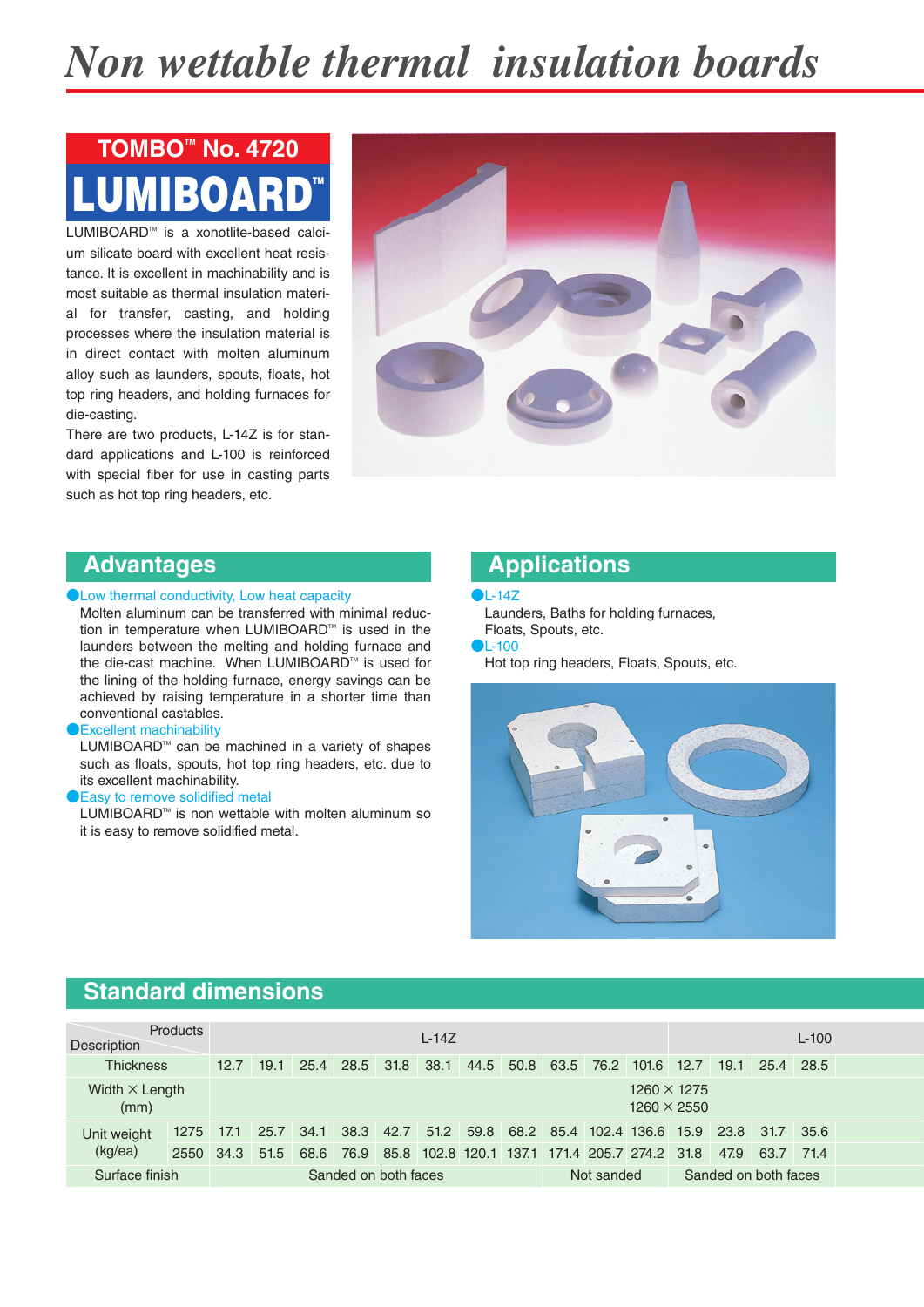# *Non wettable thermal insulation boards*

# LUMIBOARD™ **TOMBOTM No. 4720**

LUMIBOARD™ is a xonotlite-based calcium silicate board with excellent heat resistance. It is excellent in machinability and is most suitable as thermal insulation material for transfer, casting, and holding processes where the insulation material is in direct contact with molten aluminum alloy such as launders, spouts, floats, hot top ring headers, and holding furnaces for die-casting.

There are two products, L-14Z is for standard applications and L-100 is reinforced with special fiber for use in casting parts such as hot top ring headers, etc.



### **Advantages**

**PLow thermal conductivity, Low heat capacity** 

Molten aluminum can be transferred with minimal reduction in temperature when LUMIBOARD™ is used in the launders between the melting and holding furnace and the die-cast machine. When LUMIBOARD™ is used for the lining of the holding furnace, energy savings can be achieved by raising temperature in a shorter time than conventional castables.

#### **B**Excellent machinability

LUMIBOARD™ can be machined in a variety of shapes such as floats, spouts, hot top ring headers, etc. due to its excellent machinability.

#### Easy to remove solidified metal

LUMIBOARD<sup>™</sup> is non wettable with molten aluminum so it is easy to remove solidified metal.

### **Applications**

#### ●L-14Z

Launders, Baths for holding furnaces, Floats, Spouts, etc.

#### ●L-100

Hot top ring headers, Floats, Spouts, etc.



## **Standard dimensions**

| <b>Products</b><br>Description |      | $L-14Z$              |      |      |           |      |                                               |  |            |                     | $L-100$ |                                          |  |      |      |      |  |
|--------------------------------|------|----------------------|------|------|-----------|------|-----------------------------------------------|--|------------|---------------------|---------|------------------------------------------|--|------|------|------|--|
| <b>Thickness</b>               |      | 12.7                 | 19.1 | 25.4 | 28.5      | 31.8 | 38.1                                          |  |            | 44.5 50.8 63.5 76.2 |         | $101.6$ 12.7                             |  | 19.1 | 25.4 | 28.5 |  |
| Width $\times$ Length<br>(mm)  |      |                      |      |      |           |      |                                               |  |            |                     |         | $1260 \times 1275$<br>$1260 \times 2550$ |  |      |      |      |  |
| Unit weight                    | 1275 | 17.1                 | 25.7 | 34.1 | 38.3 42.7 |      | 51.2                                          |  |            |                     |         | 59.8 68.2 85.4 102.4 136.6 15.9          |  | 23.8 | 31.7 | 35.6 |  |
| (kg/ea)                        | 2550 | 34.3                 | 51.5 | 68.6 | 76.9      |      | 85.8 102.8 120.1 137.1 171.4 205.7 274.2 31.8 |  |            |                     |         |                                          |  | 47.9 | 63.7 | 71.4 |  |
| Surface finish                 |      | Sanded on both faces |      |      |           |      |                                               |  | Not sanded |                     |         | Sanded on both faces                     |  |      |      |      |  |